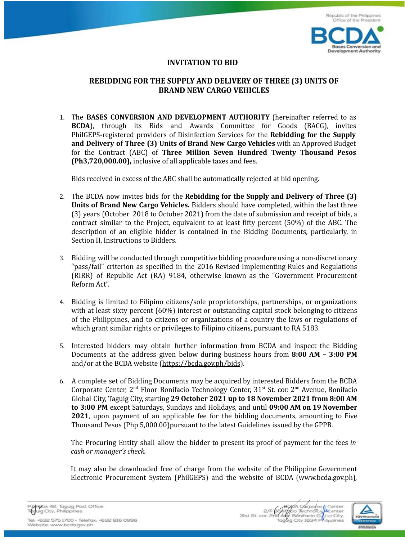

## **INVITATION TO BID**

## **REBIDDING FOR THE SUPPLY AND DELIVERY OF THREE (3) UNITS OF BRAND NEW CARGO VEHICLES**

1. The **BASES CONVERSION AND DEVELOPMENT AUTHORITY** (hereinafter referred to as **BCDA**), through its Bids and Awards Committee for Goods (BACG), invites PhilGEPS**-**registered providers of Disinfection Services for the **Rebidding for the Supply and Delivery of Three (3) Units of Brand New Cargo Vehicles** with an Approved Budget for the Contract (ABC) of **Three Million Seven Hundred Twenty Thousand Pesos (Ph3,720,000.00),** inclusive of all applicable taxes and fees.

Bids received in excess of the ABC shall be automatically rejected at bid opening.

- 2. The BCDA now invites bids for the **Rebidding for the Supply and Delivery of Three (3) Units of Brand New Cargo Vehicles.** Bidders should have completed, within the last three (3) years (October 2018 to October 2021) from the date of submission and receipt of bids, a contract similar to the Project, equivalent to at least fifty percent (50%) of the ABC. The description of an eligible bidder is contained in the Bidding Documents, particularly, in Section II, Instructions to Bidders.
- 3. Bidding will be conducted through competitive bidding procedure using a non-discretionary "pass/fail" criterion as specified in the 2016 Revised Implementing Rules and Regulations (RIRR) of Republic Act (RA) 9184, otherwise known as the "Government Procurement Reform Act".
- 4. Bidding is limited to Filipino citizens/sole proprietorships, partnerships, or organizations with at least sixty percent (60%) interest or outstanding capital stock belonging to citizens of the Philippines, and to citizens or organizations of a country the laws or regulations of which grant similar rights or privileges to Filipino citizens, pursuant to RA 5183.
- 5. Interested bidders may obtain further information from BCDA and inspect the Bidding Documents at the address given below during business hours from **8:00 AM – 3:00 PM** and/or at the BCDA website (https://bcda.gov.ph/bids).
- 6. A complete set of Bidding Documents may be acquired by interested Bidders from the BCDA Corporate Center,  $2<sup>nd</sup>$  Floor Bonifacio Technology Center,  $31<sup>st</sup>$  St. cor.  $2<sup>nd</sup>$  Avenue, Bonifacio Global City, Taguig City, starting **29 October 2021 up to 18 November 2021 from 8:00 AM to 3:00 PM** except Saturdays, Sundays and Holidays, and until **09:00 AM on 19 November 2021**, upon payment of an applicable fee for the bidding documents, amounting to Five Thousand Pesos (Php 5,000.00)pursuant to the latest Guidelines issued by the GPPB.

The Procuring Entity shall allow the bidder to present its proof of payment for the fees *in cash or manager's check.* 

It may also be downloaded free of charge from the website of the Philippine Government Electronic Procurement System (PhilGEPS) and the website of BCDA (www.bcda.gov.ph)



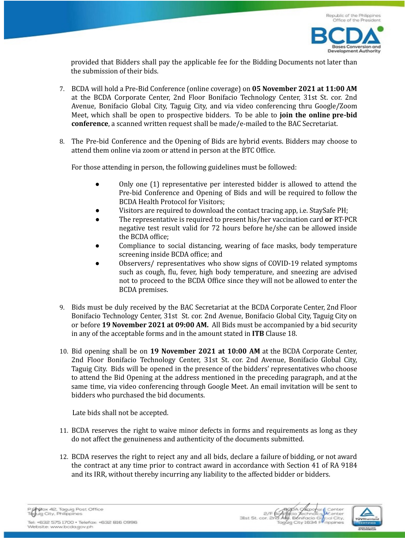

provided that Bidders shall pay the applicable fee for the Bidding Documents not later than the submission of their bids.

- 7. BCDA will hold a Pre-Bid Conference (online coverage) on **05 November 2021 at 11:00 AM** at the BCDA Corporate Center, 2nd Floor Bonifacio Technology Center, 31st St. cor. 2nd Avenue, Bonifacio Global City, Taguig City, and via video conferencing thru Google/Zoom Meet, which shall be open to prospective bidders. To be able to **join the online pre-bid conference**, a scanned written request shall be made/e-mailed to the BAC Secretariat.
- 8. The Pre-bid Conference and the Opening of Bids are hybrid events. Bidders may choose to attend them online via zoom or attend in person at the BTC Office.

For those attending in person, the following guidelines must be followed:

- Only one (1) representative per interested bidder is allowed to attend the Pre-bid Conference and Opening of Bids and will be required to follow the BCDA Health Protocol for Visitors;
- Visitors are required to download the contact tracing app, i.e. StaySafe PH;
- Ɣ The representative is required to present his/her vaccination card **or** RT-PCR negative test result valid for 72 hours before he/she can be allowed inside the BCDA office;
- Compliance to social distancing, wearing of face masks, body temperature screening inside BCDA office; and
- Ɣ Observers/ representatives who show signs of COVID-19 related symptoms such as cough, flu, fever, high body temperature, and sneezing are advised not to proceed to the BCDA Office since they will not be allowed to enter the BCDA premises.
- 9. Bids must be duly received by the BAC Secretariat at the BCDA Corporate Center, 2nd Floor Bonifacio Technology Center, 31st St. cor. 2nd Avenue, Bonifacio Global City, Taguig City on or before **19 November 2021 at 09:00 AM.** All Bids must be accompanied by a bid security in any of the acceptable forms and in the amount stated in **ITB** Clause 18.
- 10. Bid opening shall be on **19 November 2021 at 10:00 AM** at the BCDA Corporate Center, 2nd Floor Bonifacio Technology Center, 31st St. cor. 2nd Avenue, Bonifacio Global City, Taguig City. Bids will be opened in the presence of the bidders' representatives who choose to attend the Bid Opening at the address mentioned in the preceding paragraph, and at the same time, via video conferencing through Google Meet. An email invitation will be sent to bidders who purchased the bid documents.

Late bids shall not be accepted.

- 11. BCDA reserves the right to waive minor defects in forms and requirements as long as they do not affect the genuineness and authenticity of the documents submitted.
- 12. BCDA reserves the right to reject any and all bids, declare a failure of bidding, or not award the contract at any time prior to contract award in accordance with Section 41 of RA 9184 and its IRR, without thereby incurring any liability to the affected bidder or bidders.



Tel: +632 575 1700 · Telefax: +632 816 0996 Website: www.bcda.gov.ph